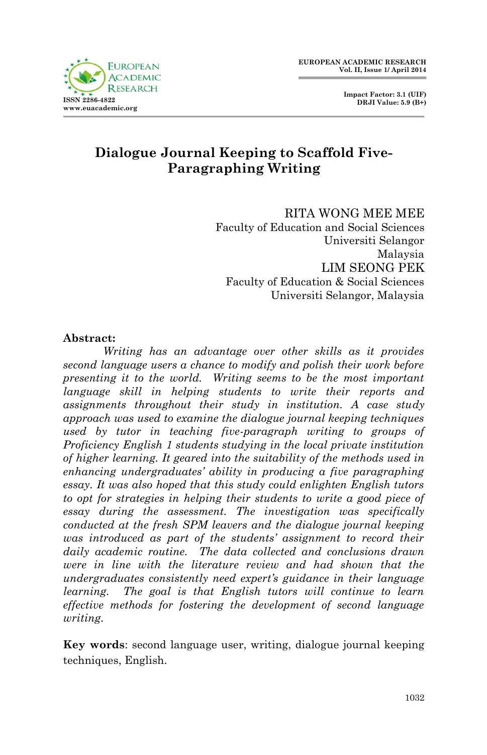



# **Dialogue Journal Keeping to Scaffold Five-Paragraphing Writing**

RITA WONG MEE MEE Faculty of Education and Social Sciences Universiti Selangor Malaysia LIM SEONG PEK Faculty of Education & Social Sciences Universiti Selangor, Malaysia

#### **Abstract:**

*Writing has an advantage over other skills as it provides second language users a chance to modify and polish their work before presenting it to the world. Writing seems to be the most important language skill in helping students to write their reports and assignments throughout their study in institution. A case study approach was used to examine the dialogue journal keeping techniques used by tutor in teaching five-paragraph writing to groups of Proficiency English 1 students studying in the local private institution of higher learning. It geared into the suitability of the methods used in enhancing undergraduates' ability in producing a five paragraphing essay. It was also hoped that this study could enlighten English tutors to opt for strategies in helping their students to write a good piece of essay during the assessment. The investigation was specifically conducted at the fresh SPM leavers and the dialogue journal keeping was introduced as part of the students' assignment to record their daily academic routine. The data collected and conclusions drawn were in line with the literature review and had shown that the undergraduates consistently need expert's guidance in their language learning.* The goal is that English tutors will continue to learn *effective methods for fostering the development of second language writing.*

**Key words**: second language user, writing, dialogue journal keeping techniques, English.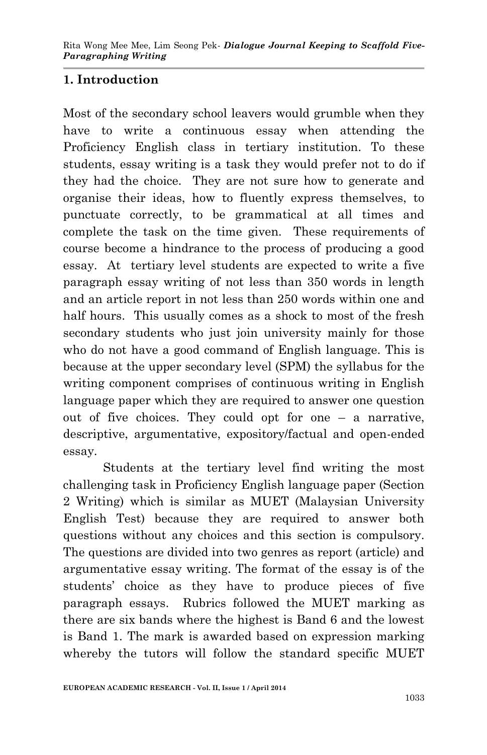## **1. Introduction**

Most of the secondary school leavers would grumble when they have to write a continuous essay when attending the Proficiency English class in tertiary institution. To these students, essay writing is a task they would prefer not to do if they had the choice. They are not sure how to generate and organise their ideas, how to fluently express themselves, to punctuate correctly, to be grammatical at all times and complete the task on the time given. These requirements of course become a hindrance to the process of producing a good essay. At tertiary level students are expected to write a five paragraph essay writing of not less than 350 words in length and an article report in not less than 250 words within one and half hours. This usually comes as a shock to most of the fresh secondary students who just join university mainly for those who do not have a good command of English language. This is because at the upper secondary level (SPM) the syllabus for the writing component comprises of continuous writing in English language paper which they are required to answer one question out of five choices. They could opt for one – a narrative, descriptive, argumentative, expository/factual and open-ended essay.

Students at the tertiary level find writing the most challenging task in Proficiency English language paper (Section 2 Writing) which is similar as MUET (Malaysian University English Test) because they are required to answer both questions without any choices and this section is compulsory. The questions are divided into two genres as report (article) and argumentative essay writing. The format of the essay is of the students' choice as they have to produce pieces of five paragraph essays. Rubrics followed the MUET marking as there are six bands where the highest is Band 6 and the lowest is Band 1. The mark is awarded based on expression marking whereby the tutors will follow the standard specific MUET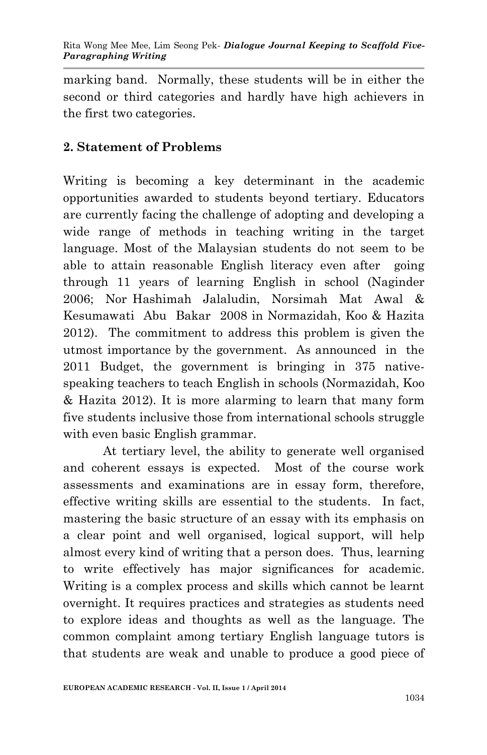marking band. Normally, these students will be in either the second or third categories and hardly have high achievers in the first two categories.

### **2. Statement of Problems**

Writing is becoming a key determinant in the academic opportunities awarded to students beyond tertiary. Educators are currently facing the challenge of adopting and developing a wide range of methods in teaching writing in the target language. Most of the Malaysian students do not seem to be able to attain reasonable English literacy even after going through 11 years of learning English in school (Naginder 2006; Nor Hashimah Jalaludin, Norsimah Mat Awal & Kesumawati Abu Bakar 2008 in Normazidah, Koo & Hazita 2012). The commitment to address this problem is given the utmost importance by the government. As announced in the 2011 Budget, the government is bringing in 375 nativespeaking teachers to teach English in schools (Normazidah, Koo & Hazita 2012). It is more alarming to learn that many form five students inclusive those from international schools struggle with even basic English grammar.

At tertiary level, the ability to generate well organised and coherent essays is expected. Most of the course work assessments and examinations are in essay form, therefore, effective writing skills are essential to the students. In fact, mastering the basic structure of an essay with its emphasis on a clear point and well organised, logical support, will help almost every kind of writing that a person does. Thus, learning to write effectively has major significances for academic. Writing is a complex process and skills which cannot be learnt overnight. It requires practices and strategies as students need to explore ideas and thoughts as well as the language. The common complaint among tertiary English language tutors is that students are weak and unable to produce a good piece of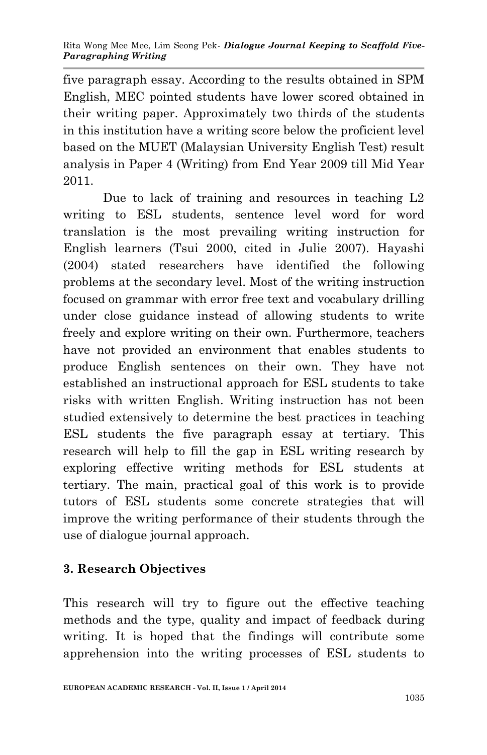five paragraph essay. According to the results obtained in SPM English, MEC pointed students have lower scored obtained in their writing paper. Approximately two thirds of the students in this institution have a writing score below the proficient level based on the MUET (Malaysian University English Test) result analysis in Paper 4 (Writing) from End Year 2009 till Mid Year 2011.

Due to lack of training and resources in teaching L2 writing to ESL students, sentence level word for word translation is the most prevailing writing instruction for English learners (Tsui 2000, cited in Julie 2007). Hayashi (2004) stated researchers have identified the following problems at the secondary level. Most of the writing instruction focused on grammar with error free text and vocabulary drilling under close guidance instead of allowing students to write freely and explore writing on their own. Furthermore, teachers have not provided an environment that enables students to produce English sentences on their own. They have not established an instructional approach for ESL students to take risks with written English. Writing instruction has not been studied extensively to determine the best practices in teaching ESL students the five paragraph essay at tertiary. This research will help to fill the gap in ESL writing research by exploring effective writing methods for ESL students at tertiary. The main, practical goal of this work is to provide tutors of ESL students some concrete strategies that will improve the writing performance of their students through the use of dialogue journal approach.

## **3. Research Objectives**

This research will try to figure out the effective teaching methods and the type, quality and impact of feedback during writing. It is hoped that the findings will contribute some apprehension into the writing processes of ESL students to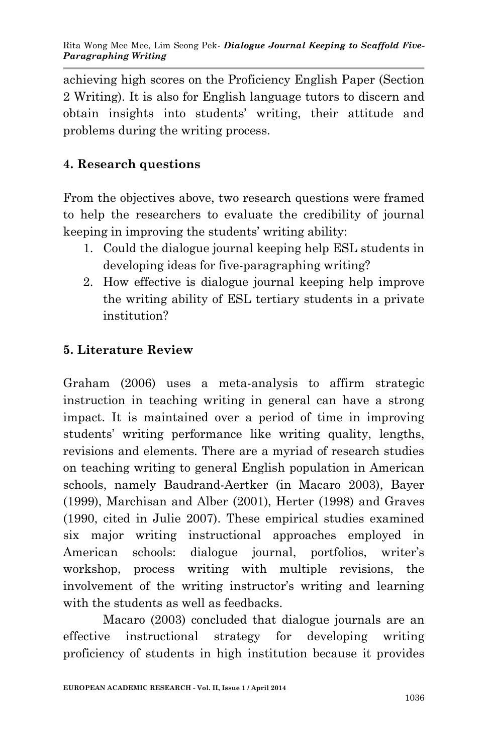achieving high scores on the Proficiency English Paper (Section 2 Writing). It is also for English language tutors to discern and obtain insights into students' writing, their attitude and problems during the writing process.

# **4. Research questions**

From the objectives above, two research questions were framed to help the researchers to evaluate the credibility of journal keeping in improving the students' writing ability:

- 1. Could the dialogue journal keeping help ESL students in developing ideas for five-paragraphing writing?
- 2. How effective is dialogue journal keeping help improve the writing ability of ESL tertiary students in a private institution?

# **5. Literature Review**

Graham (2006) uses a meta-analysis to affirm strategic instruction in teaching writing in general can have a strong impact. It is maintained over a period of time in improving students' writing performance like writing quality, lengths, revisions and elements. There are a myriad of research studies on teaching writing to general English population in American schools, namely Baudrand-Aertker (in Macaro 2003), Bayer (1999), Marchisan and Alber (2001), Herter (1998) and Graves (1990, cited in Julie 2007). These empirical studies examined six major writing instructional approaches employed in American schools: dialogue journal, portfolios, writer's workshop, process writing with multiple revisions, the involvement of the writing instructor's writing and learning with the students as well as feedbacks.

Macaro (2003) concluded that dialogue journals are an effective instructional strategy for developing writing proficiency of students in high institution because it provides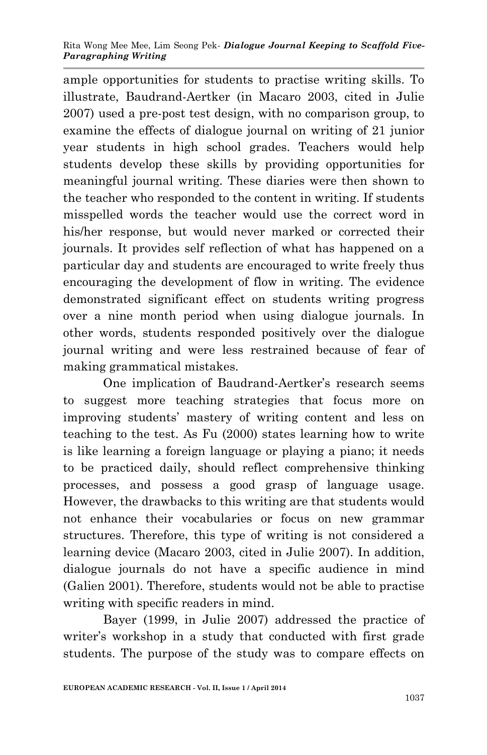ample opportunities for students to practise writing skills. To illustrate, Baudrand-Aertker (in Macaro 2003, cited in Julie 2007) used a pre-post test design, with no comparison group, to examine the effects of dialogue journal on writing of 21 junior year students in high school grades. Teachers would help students develop these skills by providing opportunities for meaningful journal writing. These diaries were then shown to the teacher who responded to the content in writing. If students misspelled words the teacher would use the correct word in his/her response, but would never marked or corrected their journals. It provides self reflection of what has happened on a particular day and students are encouraged to write freely thus encouraging the development of flow in writing. The evidence demonstrated significant effect on students writing progress over a nine month period when using dialogue journals. In other words, students responded positively over the dialogue journal writing and were less restrained because of fear of making grammatical mistakes.

One implication of Baudrand-Aertker's research seems to suggest more teaching strategies that focus more on improving students' mastery of writing content and less on teaching to the test. As Fu (2000) states learning how to write is like learning a foreign language or playing a piano; it needs to be practiced daily, should reflect comprehensive thinking processes, and possess a good grasp of language usage. However, the drawbacks to this writing are that students would not enhance their vocabularies or focus on new grammar structures. Therefore, this type of writing is not considered a learning device (Macaro 2003, cited in Julie 2007). In addition, dialogue journals do not have a specific audience in mind (Galien 2001). Therefore, students would not be able to practise writing with specific readers in mind.

Bayer (1999, in Julie 2007) addressed the practice of writer's workshop in a study that conducted with first grade students. The purpose of the study was to compare effects on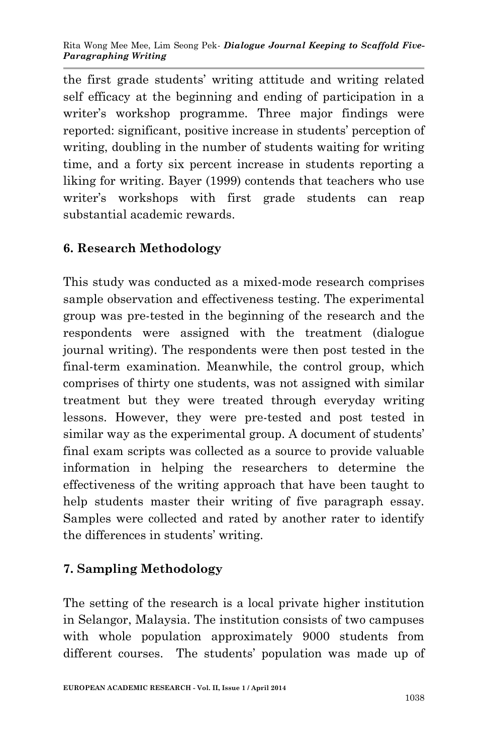the first grade students' writing attitude and writing related self efficacy at the beginning and ending of participation in a writer's workshop programme. Three major findings were reported: significant, positive increase in students' perception of writing, doubling in the number of students waiting for writing time, and a forty six percent increase in students reporting a liking for writing. Bayer (1999) contends that teachers who use writer's workshops with first grade students can reap substantial academic rewards.

# **6. Research Methodology**

This study was conducted as a mixed-mode research comprises sample observation and effectiveness testing. The experimental group was pre-tested in the beginning of the research and the respondents were assigned with the treatment (dialogue journal writing). The respondents were then post tested in the final-term examination. Meanwhile, the control group, which comprises of thirty one students, was not assigned with similar treatment but they were treated through everyday writing lessons. However, they were pre-tested and post tested in similar way as the experimental group. A document of students' final exam scripts was collected as a source to provide valuable information in helping the researchers to determine the effectiveness of the writing approach that have been taught to help students master their writing of five paragraph essay. Samples were collected and rated by another rater to identify the differences in students' writing.

## **7. Sampling Methodology**

The setting of the research is a local private higher institution in Selangor, Malaysia. The institution consists of two campuses with whole population approximately 9000 students from different courses. The students' population was made up of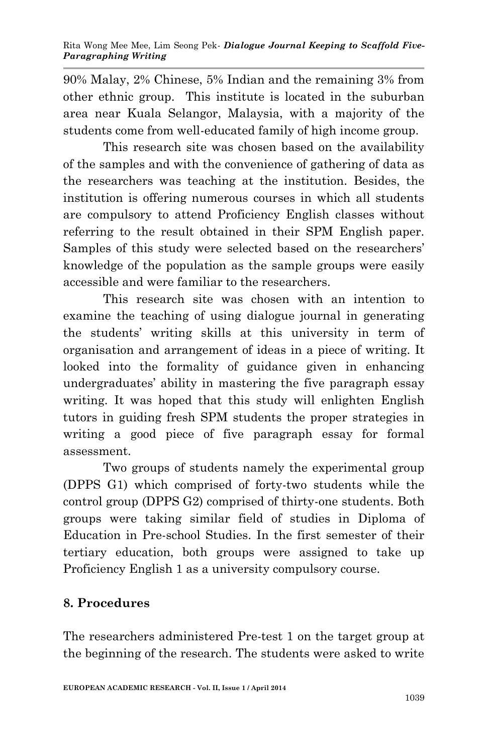90% Malay, 2% Chinese, 5% Indian and the remaining 3% from other ethnic group. This institute is located in the suburban area near Kuala Selangor, Malaysia, with a majority of the students come from well-educated family of high income group.

This research site was chosen based on the availability of the samples and with the convenience of gathering of data as the researchers was teaching at the institution. Besides, the institution is offering numerous courses in which all students are compulsory to attend Proficiency English classes without referring to the result obtained in their SPM English paper. Samples of this study were selected based on the researchers' knowledge of the population as the sample groups were easily accessible and were familiar to the researchers.

This research site was chosen with an intention to examine the teaching of using dialogue journal in generating the students' writing skills at this university in term of organisation and arrangement of ideas in a piece of writing. It looked into the formality of guidance given in enhancing undergraduates' ability in mastering the five paragraph essay writing. It was hoped that this study will enlighten English tutors in guiding fresh SPM students the proper strategies in writing a good piece of five paragraph essay for formal assessment.

Two groups of students namely the experimental group (DPPS G1) which comprised of forty-two students while the control group (DPPS G2) comprised of thirty-one students. Both groups were taking similar field of studies in Diploma of Education in Pre-school Studies. In the first semester of their tertiary education, both groups were assigned to take up Proficiency English 1 as a university compulsory course.

## **8. Procedures**

The researchers administered Pre-test 1 on the target group at the beginning of the research. The students were asked to write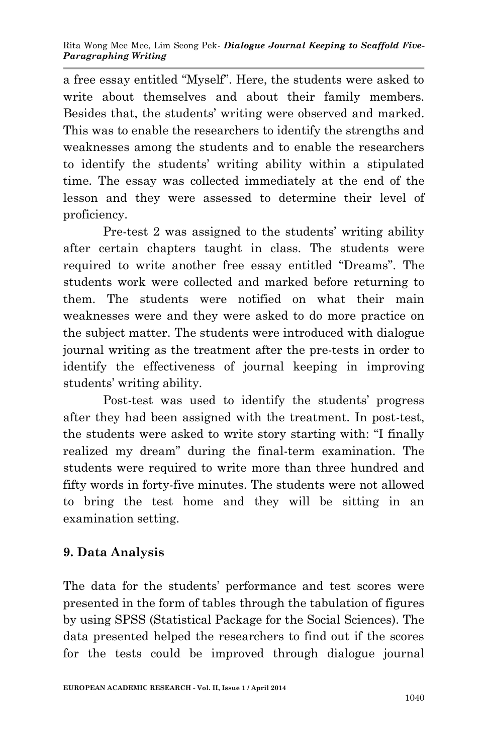a free essay entitled "Myself". Here, the students were asked to write about themselves and about their family members. Besides that, the students' writing were observed and marked. This was to enable the researchers to identify the strengths and weaknesses among the students and to enable the researchers to identify the students' writing ability within a stipulated time. The essay was collected immediately at the end of the lesson and they were assessed to determine their level of proficiency.

Pre-test 2 was assigned to the students' writing ability after certain chapters taught in class. The students were required to write another free essay entitled "Dreams". The students work were collected and marked before returning to them. The students were notified on what their main weaknesses were and they were asked to do more practice on the subject matter. The students were introduced with dialogue journal writing as the treatment after the pre-tests in order to identify the effectiveness of journal keeping in improving students' writing ability.

Post-test was used to identify the students' progress after they had been assigned with the treatment. In post-test, the students were asked to write story starting with: "I finally realized my dream" during the final-term examination. The students were required to write more than three hundred and fifty words in forty-five minutes. The students were not allowed to bring the test home and they will be sitting in an examination setting.

# **9. Data Analysis**

The data for the students' performance and test scores were presented in the form of tables through the tabulation of figures by using SPSS (Statistical Package for the Social Sciences). The data presented helped the researchers to find out if the scores for the tests could be improved through dialogue journal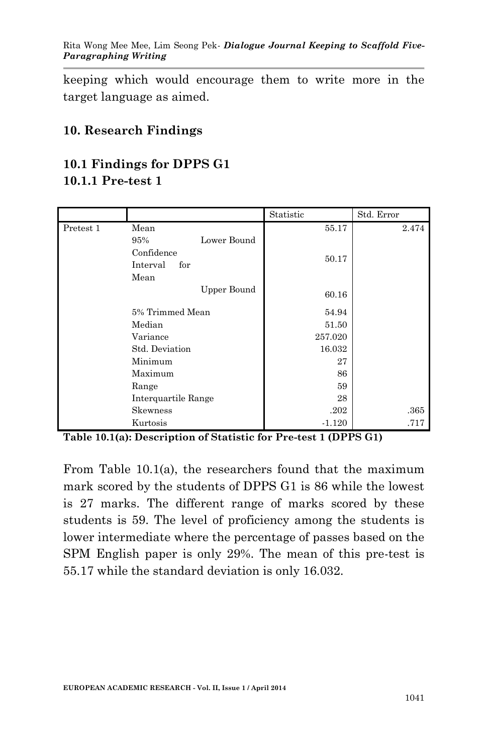keeping which would encourage them to write more in the target language as aimed.

#### **10. Research Findings**

# **10.1 Findings for DPPS G1**

### **10.1.1 Pre-test 1**

|           |                     | Statistic | Std. Error |
|-----------|---------------------|-----------|------------|
| Pretest 1 | Mean                | 55.17     | 2.474      |
|           | Lower Bound<br>95%  |           |            |
|           | Confidence          | 50.17     |            |
|           | Interval<br>for     |           |            |
|           | Mean                |           |            |
|           | <b>Upper Bound</b>  | 60.16     |            |
|           | 5% Trimmed Mean     | 54.94     |            |
|           | Median              | 51.50     |            |
|           | Variance            | 257.020   |            |
|           | Std. Deviation      | 16.032    |            |
|           | Minimum             | 27        |            |
|           | Maximum             | 86        |            |
|           | Range               | 59        |            |
|           | Interquartile Range | 28        |            |
|           | Skewness            | .202      | .365       |
|           | Kurtosis            | $-1.120$  | .717       |

**Table 10.1(a): Description of Statistic for Pre-test 1 (DPPS G1)**

From Table 10.1(a), the researchers found that the maximum mark scored by the students of DPPS G1 is 86 while the lowest is 27 marks. The different range of marks scored by these students is 59. The level of proficiency among the students is lower intermediate where the percentage of passes based on the SPM English paper is only 29%. The mean of this pre-test is 55.17 while the standard deviation is only 16.032.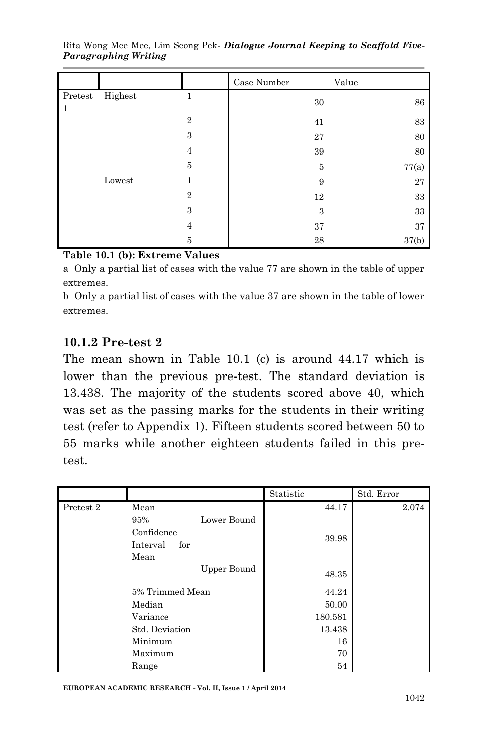|                         |         |                | Case Number | Value  |
|-------------------------|---------|----------------|-------------|--------|
| Pretest<br>$\mathbf{1}$ | Highest | 1              | $30\,$      | 86     |
|                         |         | $\overline{2}$ | 41          | 83     |
|                         |         | $\,3$          | 27          | 80     |
|                         |         | 4              | 39          | 80     |
|                         |         | $\bf 5$        | 5           | 77(a)  |
|                         | Lowest  | 1              | 9           | 27     |
|                         |         | $\overline{2}$ | 12          | $33\,$ |
|                         |         | 3              | 3           | $33\,$ |
|                         |         | $\overline{4}$ | 37          | 37     |
|                         |         | $\overline{5}$ | 28          | 37(b)  |

Rita Wong Mee Mee, Lim Seong Pek*- Dialogue Journal Keeping to Scaffold Five-Paragraphing Writing*

#### **Table 10.1 (b): Extreme Values**

a Only a partial list of cases with the value 77 are shown in the table of upper extremes.

b Only a partial list of cases with the value 37 are shown in the table of lower extremes.

#### **10.1.2 Pre-test 2**

The mean shown in Table 10.1 (c) is around 44.17 which is lower than the previous pre-test. The standard deviation is 13.438. The majority of the students scored above 40, which was set as the passing marks for the students in their writing test (refer to Appendix 1). Fifteen students scored between 50 to 55 marks while another eighteen students failed in this pretest.

|           |                    | Statistic | Std. Error |
|-----------|--------------------|-----------|------------|
| Pretest 2 | Mean               | 44.17     | 2.074      |
|           | Lower Bound<br>95% |           |            |
|           | Confidence         | 39.98     |            |
|           | Interval<br>for    |           |            |
|           | Mean               |           |            |
|           | <b>Upper Bound</b> | 48.35     |            |
|           | 5% Trimmed Mean    | 44.24     |            |
|           | Median             | 50.00     |            |
|           | Variance           | 180.581   |            |
|           | Std. Deviation     | 13.438    |            |
|           | Minimum            | 16        |            |
|           | Maximum            | 70        |            |
|           | Range              | 54        |            |

**EUROPEAN ACADEMIC RESEARCH - Vol. II, Issue 1 / April 2014**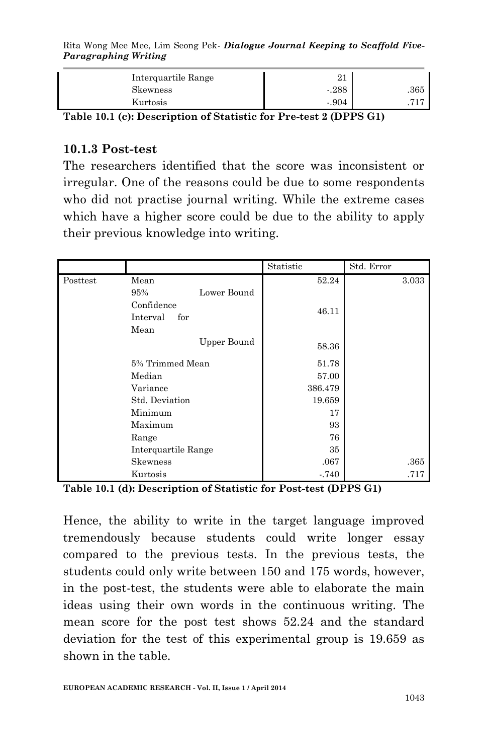Rita Wong Mee Mee, Lim Seong Pek*- Dialogue Journal Keeping to Scaffold Five-Paragraphing Writing*

| Interguartile Range |         |      |
|---------------------|---------|------|
| <b>Skewness</b>     | $-288$  | .365 |
| Kurtosis            | $-.904$ |      |

**Table 10.1 (c): Description of Statistic for Pre-test 2 (DPPS G1)**

#### **10.1.3 Post-test**

The researchers identified that the score was inconsistent or irregular. One of the reasons could be due to some respondents who did not practise journal writing. While the extreme cases which have a higher score could be due to the ability to apply their previous knowledge into writing.

|          |                     | Statistic | Std. Error |
|----------|---------------------|-----------|------------|
| Posttest | Mean                | 52.24     | 3.033      |
|          | Lower Bound<br>95%  |           |            |
|          | Confidence          | 46.11     |            |
|          | Interval<br>for     |           |            |
|          | Mean                |           |            |
|          | Upper Bound         | 58.36     |            |
|          | 5% Trimmed Mean     | 51.78     |            |
|          | Median              | 57.00     |            |
|          | Variance            | 386.479   |            |
|          | Std. Deviation      | 19.659    |            |
|          | Minimum             | 17        |            |
|          | Maximum             | 93        |            |
|          | Range               | 76        |            |
|          | Interquartile Range | 35        |            |
|          | Skewness            | .067      | .365       |
|          | Kurtosis            | $-.740$   | .717       |

**Table 10.1 (d): Description of Statistic for Post-test (DPPS G1)**

Hence, the ability to write in the target language improved tremendously because students could write longer essay compared to the previous tests. In the previous tests, the students could only write between 150 and 175 words, however, in the post-test, the students were able to elaborate the main ideas using their own words in the continuous writing. The mean score for the post test shows 52.24 and the standard deviation for the test of this experimental group is 19.659 as shown in the table.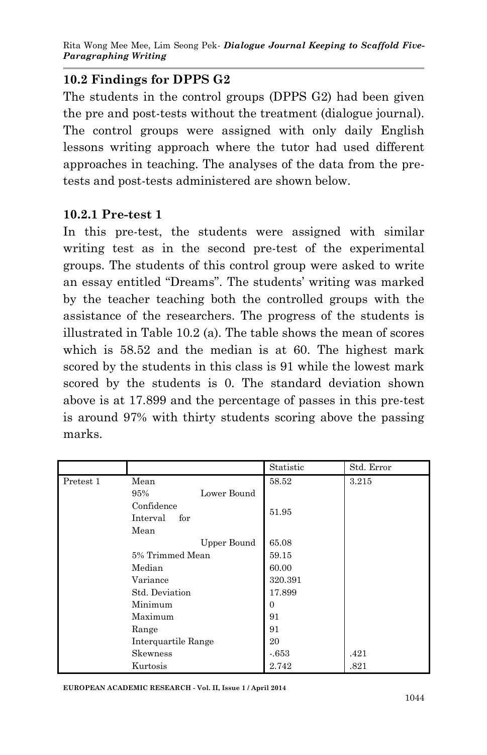## **10.2 Findings for DPPS G2**

The students in the control groups (DPPS G2) had been given the pre and post-tests without the treatment (dialogue journal). The control groups were assigned with only daily English lessons writing approach where the tutor had used different approaches in teaching. The analyses of the data from the pretests and post-tests administered are shown below.

## **10.2.1 Pre-test 1**

In this pre-test, the students were assigned with similar writing test as in the second pre-test of the experimental groups. The students of this control group were asked to write an essay entitled "Dreams". The students' writing was marked by the teacher teaching both the controlled groups with the assistance of the researchers. The progress of the students is illustrated in Table 10.2 (a). The table shows the mean of scores which is 58.52 and the median is at 60. The highest mark scored by the students in this class is 91 while the lowest mark scored by the students is 0. The standard deviation shown above is at 17.899 and the percentage of passes in this pre-test is around 97% with thirty students scoring above the passing marks.

|           |                     | Statistic | Std. Error |
|-----------|---------------------|-----------|------------|
| Pretest 1 | Mean                | 58.52     | 3.215      |
|           | Lower Bound<br>95%  |           |            |
|           | Confidence          | 51.95     |            |
|           | Interval<br>for     |           |            |
|           | Mean                |           |            |
|           | Upper Bound         | 65.08     |            |
|           | 5% Trimmed Mean     | 59.15     |            |
|           | Median              | 60.00     |            |
|           | Variance            | 320.391   |            |
|           | Std. Deviation      | 17.899    |            |
|           | Minimum             | 0         |            |
|           | Maximum             | 91        |            |
|           | Range               | 91        |            |
|           | Interquartile Range | 20        |            |
|           | Skewness            | $-653$    | .421       |
|           | Kurtosis            | 2.742     | .821       |

**EUROPEAN ACADEMIC RESEARCH - Vol. II, Issue 1 / April 2014**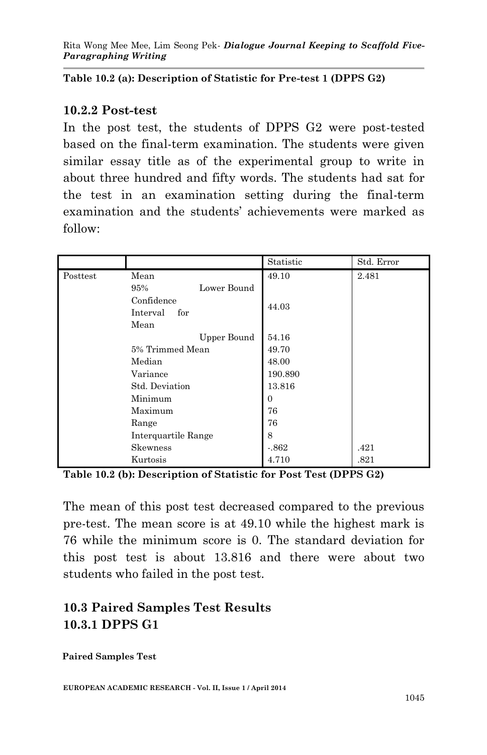**Table 10.2 (a): Description of Statistic for Pre-test 1 (DPPS G2)**

#### **10.2.2 Post-test**

In the post test, the students of DPPS G2 were post-tested based on the final-term examination. The students were given similar essay title as of the experimental group to write in about three hundred and fifty words. The students had sat for the test in an examination setting during the final-term examination and the students' achievements were marked as follow:

|          |                     | Statistic      | Std. Error |
|----------|---------------------|----------------|------------|
| Posttest | Mean                | 49.10          | 2.481      |
|          | Lower Bound<br>95%  |                |            |
|          | Confidence          | 44.03          |            |
|          | Interval<br>for     |                |            |
|          | Mean                |                |            |
|          | Upper Bound         | 54.16          |            |
|          | 5% Trimmed Mean     | 49.70          |            |
|          | Median              | 48.00          |            |
|          | Variance            | 190.890        |            |
|          | Std. Deviation      | 13.816         |            |
|          | Minimum             | $\overline{0}$ |            |
|          | Maximum             | 76             |            |
|          | Range               | 76             |            |
|          | Interquartile Range | 8              |            |
|          | Skewness            | $-862$         | .421       |
|          | Kurtosis            | 4.710          | .821       |

**Table 10.2 (b): Description of Statistic for Post Test (DPPS G2)**

The mean of this post test decreased compared to the previous pre-test. The mean score is at 49.10 while the highest mark is 76 while the minimum score is 0. The standard deviation for this post test is about 13.816 and there were about two students who failed in the post test.

# **10.3 Paired Samples Test Results 10.3.1 DPPS G1**

**Paired Samples Test**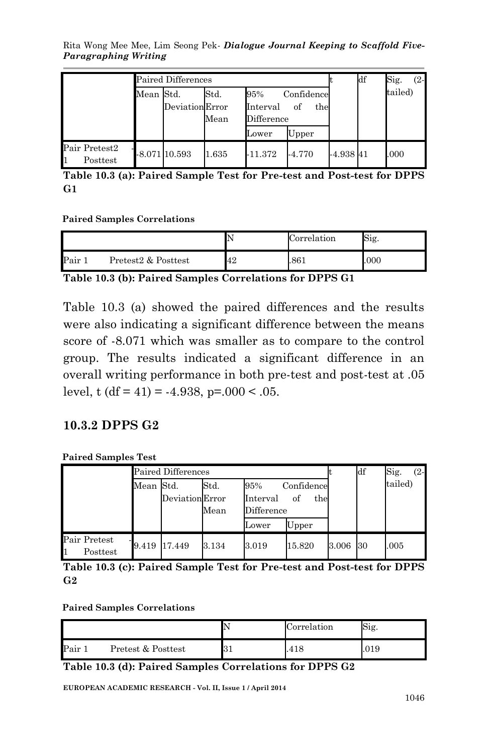Rita Wong Mee Mee, Lim Seong Pek*- Dialogue Journal Keeping to Scaffold Five-Paragraphing Writing*

|                           |           | Paired Differences |                               |                               |                         |             | df | Sig.<br>(2- |
|---------------------------|-----------|--------------------|-------------------------------|-------------------------------|-------------------------|-------------|----|-------------|
|                           | Mean Std. | Deviation Error    | $\operatorname{Std}.$<br>Mean | 95%<br>Interval<br>Difference | Confidence<br>of<br>the |             |    | tailed)     |
|                           |           |                    |                               | Lower                         | Upper                   |             |    |             |
| Pair Pretest2<br>Posttest |           | $-8.071$ 10.593    | 1.635                         | -11.372                       | $-4.770$                | $-4.938$ 41 |    | .000        |

**Table 10.3 (a): Paired Sample Test for Pre-test and Post-test for DPPS G1**

**Paired Samples Correlations**

|      |                     |    | Correlation | Sig. |
|------|---------------------|----|-------------|------|
| Pair | Pretest2 & Posttest | 42 | 861         | 000  |

**Table 10.3 (b): Paired Samples Correlations for DPPS G1**

Table 10.3 (a) showed the paired differences and the results were also indicating a significant difference between the means score of -8.071 which was smaller as to compare to the control group. The results indicated a significant difference in an overall writing performance in both pre-test and post-test at .05 level, t  $(df = 41) = -4.938$ ,  $p = .000 < .05$ .

#### **10.3.2 DPPS G2**

**Paired Samples Test**

|                          |           | Paired Differences |                               |                               |                         |       | df | Sig.<br>$(2 -$ |
|--------------------------|-----------|--------------------|-------------------------------|-------------------------------|-------------------------|-------|----|----------------|
|                          | Mean Std. | Deviation Error    | $\operatorname{Std}.$<br>Mean | 95%<br>Interval<br>Difference | Confidence<br>οf<br>the |       |    | tailed)        |
|                          |           |                    |                               | Lower                         | Upper                   |       |    |                |
| Pair Pretest<br>Posttest | 9.419     | 17.449             | 3.134                         | 3.019                         | 15.820                  | 3.006 | 30 | .005           |

**Table 10.3 (c): Paired Sample Test for Pre-test and Post-test for DPPS G2**

#### **Paired Samples Correlations**

|      |                    | Correlation | Sig. |
|------|--------------------|-------------|------|
| Pair | Pretest & Posttest | .418        | .019 |

**Table 10.3 (d): Paired Samples Correlations for DPPS G2**

**EUROPEAN ACADEMIC RESEARCH - Vol. II, Issue 1 / April 2014**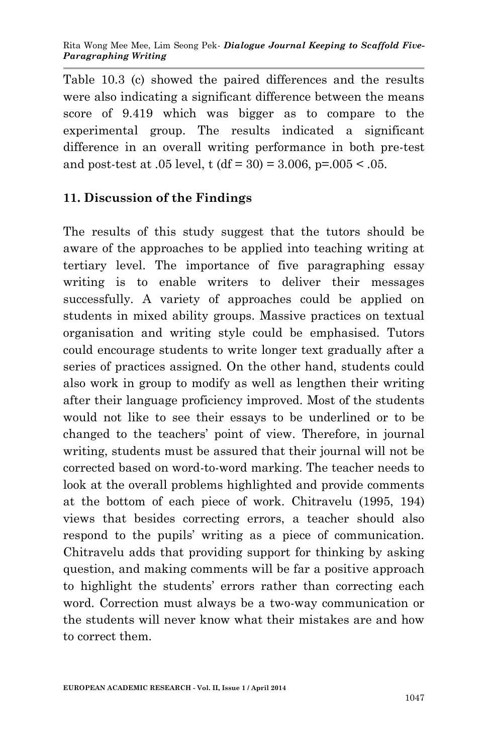Table 10.3 (c) showed the paired differences and the results were also indicating a significant difference between the means score of 9.419 which was bigger as to compare to the experimental group. The results indicated a significant difference in an overall writing performance in both pre-test and post-test at .05 level, t  $(df = 30) = 3.006$ , p=.005 < .05.

## **11. Discussion of the Findings**

The results of this study suggest that the tutors should be aware of the approaches to be applied into teaching writing at tertiary level. The importance of five paragraphing essay writing is to enable writers to deliver their messages successfully. A variety of approaches could be applied on students in mixed ability groups. Massive practices on textual organisation and writing style could be emphasised. Tutors could encourage students to write longer text gradually after a series of practices assigned. On the other hand, students could also work in group to modify as well as lengthen their writing after their language proficiency improved. Most of the students would not like to see their essays to be underlined or to be changed to the teachers' point of view. Therefore, in journal writing, students must be assured that their journal will not be corrected based on word-to-word marking. The teacher needs to look at the overall problems highlighted and provide comments at the bottom of each piece of work. Chitravelu (1995, 194) views that besides correcting errors, a teacher should also respond to the pupils' writing as a piece of communication. Chitravelu adds that providing support for thinking by asking question, and making comments will be far a positive approach to highlight the students' errors rather than correcting each word. Correction must always be a two-way communication or the students will never know what their mistakes are and how to correct them.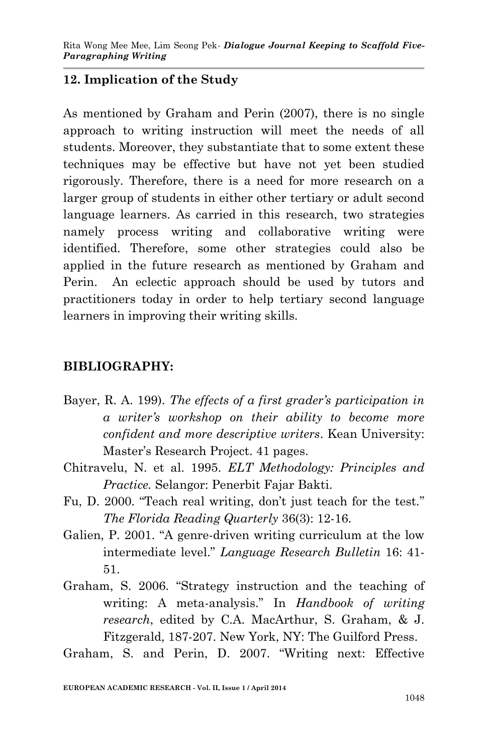### **12. Implication of the Study**

As mentioned by Graham and Perin (2007), there is no single approach to writing instruction will meet the needs of all students. Moreover, they substantiate that to some extent these techniques may be effective but have not yet been studied rigorously. Therefore, there is a need for more research on a larger group of students in either other tertiary or adult second language learners. As carried in this research, two strategies namely process writing and collaborative writing were identified. Therefore, some other strategies could also be applied in the future research as mentioned by Graham and Perin. An eclectic approach should be used by tutors and practitioners today in order to help tertiary second language learners in improving their writing skills.

### **BIBLIOGRAPHY:**

- Bayer, R. A. 199). *The effects of a first grader's participation in a writer's workshop on their ability to become more confident and more descriptive writers*. Kean University: Master's Research Project. 41 pages.
- Chitravelu, N. et al. 1995. *ELT Methodology: Principles and Practice.* Selangor: Penerbit Fajar Bakti.
- Fu, D. 2000. "Teach real writing, don't just teach for the test." *The Florida Reading Quarterly* 36(3): 12-16.
- Galien, P. 2001. "A genre-driven writing curriculum at the low intermediate level." *Language Research Bulletin* 16: 41- 51.
- Graham, S. 2006. "Strategy instruction and the teaching of writing: A meta-analysis." In *Handbook of writing research*, edited by C.A. MacArthur, S. Graham, & J. Fitzgerald, 187-207. New York, NY: The Guilford Press.

Graham, S. and Perin, D. 2007. "Writing next: Effective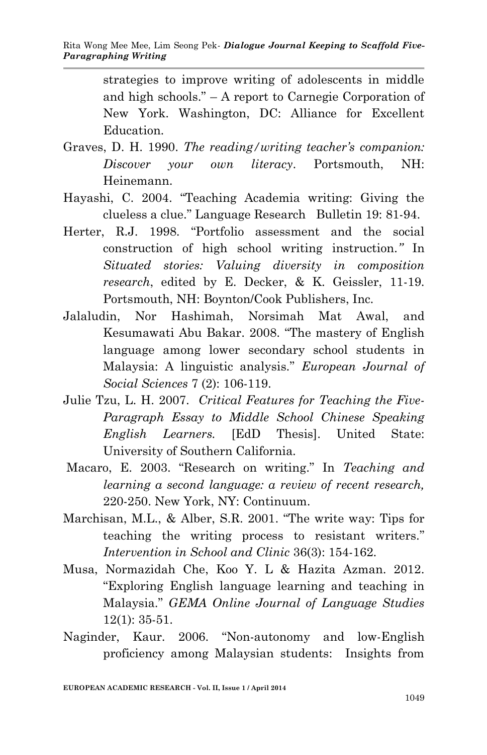strategies to improve writing of adolescents in middle and high schools." – A report to Carnegie Corporation of New York. Washington, DC: Alliance for Excellent Education.

- Graves, D. H. 1990. *The reading/writing teacher's companion: Discover your own literacy*. Portsmouth, NH: Heinemann.
- Hayashi, C. 2004. "Teaching Academia writing: Giving the clueless a clue." Language Research Bulletin 19: 81-94.
- Herter, R.J. 1998. "Portfolio assessment and the social construction of high school writing instruction*."* In *Situated stories: Valuing diversity in composition research*, edited by E. Decker, & K. Geissler, 11-19. Portsmouth, NH: Boynton/Cook Publishers, Inc.
- Jalaludin, Nor Hashimah, Norsimah Mat Awal, and Kesumawati Abu Bakar. 2008. "The mastery of English language among lower secondary school students in Malaysia: A linguistic analysis." *European Journal of Social Sciences* 7 (2): 106-119.
- Julie Tzu, L. H. 2007. *Critical Features for Teaching the Five-Paragraph Essay to Middle School Chinese Speaking English Learners.* [EdD Thesis]. United State: University of Southern California.
- Macaro, E. 2003. "Research on writing." In *Teaching and learning a second language: a review of recent research,*  220-250. New York, NY: Continuum.
- Marchisan, M.L., & Alber, S.R. 2001. "The write way: Tips for teaching the writing process to resistant writers." *Intervention in School and Clinic* 36(3): 154-162.
- Musa, Normazidah Che, Koo Y. L & Hazita Azman. 2012. "Exploring English language learning and teaching in Malaysia." *GEMA Online Journal of Language Studies* 12(1): 35-51.
- Naginder, Kaur. 2006. "Non-autonomy and low-English proficiency among Malaysian students: Insights from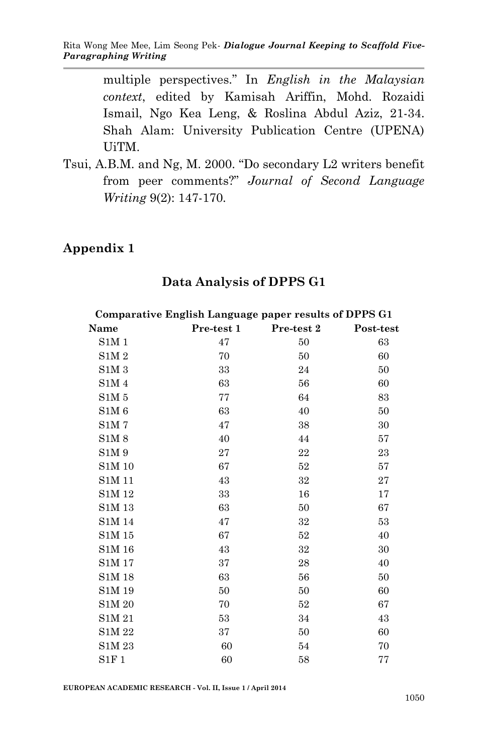multiple perspectives." In *English in the Malaysian context*, edited by Kamisah Ariffin, Mohd. Rozaidi Ismail, Ngo Kea Leng, & Roslina Abdul Aziz, 21-34. Shah Alam: University Publication Centre (UPENA) UiTM.

Tsui, A.B.M. and Ng, M. 2000. "Do secondary L2 writers benefit from peer comments?" *Journal of Second Language Writing* 9(2): 147-170.

#### **Appendix 1**

|               | Comparative English Language paper results of DPPS G1 |            |           |
|---------------|-------------------------------------------------------|------------|-----------|
| Name          | Pre-test 1                                            | Pre-test 2 | Post-test |
| SIM1          | 47                                                    | 50         | 63        |
| SIM2          | 70                                                    | 50         | 60        |
| SIM3          | 33                                                    | 24         | 50        |
| SIM4          | 63                                                    | 56         | 60        |
| SIM 5         | 77                                                    | 64         | 83        |
| SIM 6         | 63                                                    | 40         | 50        |
| <b>S1M7</b>   | 47                                                    | 38         | 30        |
| S1M8          | 40                                                    | 44         | 57        |
| S1M 9         | 27                                                    | 22         | 23        |
| S1M 10        | 67                                                    | 52         | 57        |
| S1M 11        | 43                                                    | 32         | 27        |
| S1M 12        | 33                                                    | 16         | 17        |
| S1M 13        | 63                                                    | 50         | 67        |
| <b>S1M 14</b> | 47                                                    | 32         | 53        |
| S1M 15        | 67                                                    | 52         | 40        |
| S1M 16        | 43                                                    | 32         | 30        |
| S1M 17        | 37                                                    | 28         | 40        |
| S1M 18        | 63                                                    | 56         | 50        |
| S1M 19        | 50                                                    | 50         | 60        |
| S1M 20        | 70                                                    | 52         | 67        |
| S1M 21        | 53                                                    | 34         | 43        |
| S1M 22        | 37                                                    | 50         | 60        |
| S1M 23        | 60                                                    | 54         | 70        |
| S1F1          | 60                                                    | 58         | 77        |

#### **Data Analysis of DPPS G1**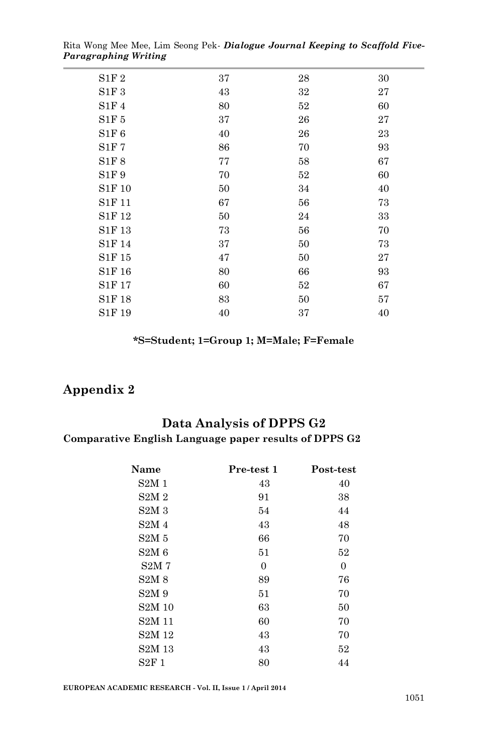| S1F2   | 37 | 28 | 30 |
|--------|----|----|----|
| S1F3   | 43 | 32 | 27 |
| S1F4   | 80 | 52 | 60 |
| S1F5   | 37 | 26 | 27 |
| S1F6   | 40 | 26 | 23 |
| S1F7   | 86 | 70 | 93 |
| S1F8   | 77 | 58 | 67 |
| S1F9   | 70 | 52 | 60 |
| S1F 10 | 50 | 34 | 40 |
| S1F 11 | 67 | 56 | 73 |
| S1F 12 | 50 | 24 | 33 |
| S1F 13 | 73 | 56 | 70 |
| S1F 14 | 37 | 50 | 73 |
| S1F 15 | 47 | 50 | 27 |
| S1F 16 | 80 | 66 | 93 |
| S1F 17 | 60 | 52 | 67 |
| S1F 18 | 83 | 50 | 57 |
| S1F 19 | 40 | 37 | 40 |
|        |    |    |    |

Rita Wong Mee Mee, Lim Seong Pek*- Dialogue Journal Keeping to Scaffold Five-Paragraphing Writing*

#### **\*S=Student; 1=Group 1; M=Male; F=Female**

#### **Appendix 2**

L.

#### **Data Analysis of DPPS G2**

#### **Comparative English Language paper results of DPPS G2**

| Name                           | Pre-test 1     | Post-test      |
|--------------------------------|----------------|----------------|
| S2M1                           | 43             | 40             |
| S2M2                           | 91             | 38             |
| S2M3                           | 54             | 44             |
| S2M <sub>4</sub>               | 43             | 48             |
| S2M <sub>5</sub>               | 66             | 70             |
| S2M6                           | 51             | 52             |
| S2M <sub>7</sub>               | $\overline{0}$ | $\overline{0}$ |
| S2M8                           | 89             | 76             |
| S2M <sub>9</sub>               | 51             | 70             |
| S <sub>2</sub> M <sub>10</sub> | 63             | 50             |
| S <sub>2</sub> M <sub>11</sub> | 60             | 70             |
| S <sub>2</sub> M <sub>12</sub> | 43             | 70             |
| S <sub>2</sub> M <sub>13</sub> | 43             | 52             |
| S2F1                           | 80             | 44             |